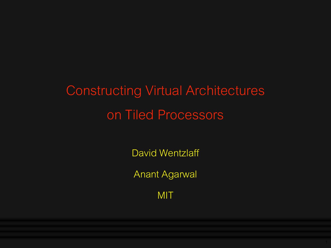# Constructing Virtual Architectures on Tiled Processors

David Wentzlaff

Anant Agarwal

MIT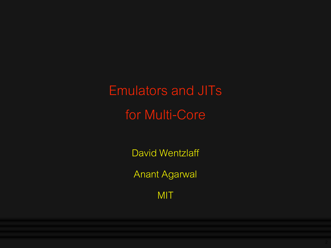Emulators and JITs for Multi-Core

David Wentzlaff

Anant Agarwal

MIT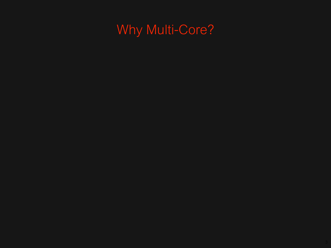# Why Multi-Core?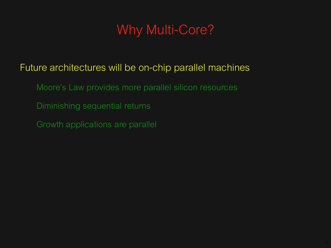# Why Multi-Core?

#### Future architectures will be on-chip parallel machines

- Moore's Law provides more parallel silicon resources
- Diminishing sequential returns
- Growth applications are parallel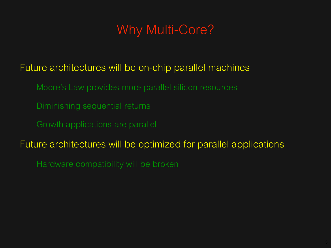# Why Multi-Core?

#### Future architectures will be on-chip parallel machines

- Moore's Law provides more parallel silicon resources
- Diminishing sequential returns
- Growth applications are parallel

#### Future architectures will be optimized for parallel applications

Hardware compatibility will be broken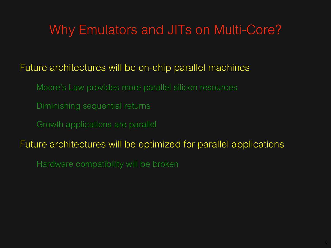# Why Emulators and JITs on Multi-Core?

#### Future architectures will be on-chip parallel machines

- Moore's Law provides more parallel silicon resources
- Diminishing sequential returns
- Growth applications are parallel

#### Future architectures will be optimized for parallel applications

Hardware compatibility will be broken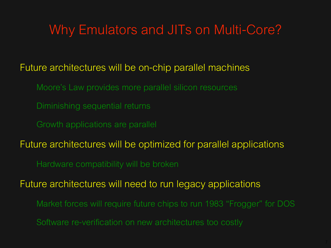# Why Emulators and JITs on Multi-Core?

#### Future architectures will be on-chip parallel machines

- Moore's Law provides more parallel silicon resources
- Diminishing sequential returns
- Growth applications are parallel

Future architectures will be optimized for parallel applications

Hardware compatibility will be broken

Future architectures will need to run legacy applications

- Market forces will require future chips to run 1983 "Frogger" for DOS
- Software re-verification on new architectures too costly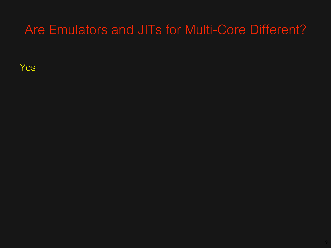Yes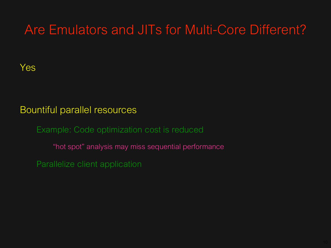#### Yes

#### Bountiful parallel resources

Example: Code optimization cost is reduced

"hot spot" analysis may miss sequential performance

Parallelize client application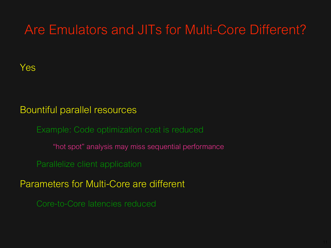#### Yes

#### Bountiful parallel resources

Example: Code optimization cost is reduced

"hot spot" analysis may miss sequential performance

Parallelize client application

Parameters for Multi-Core are different

Core-to-Core latencies reduced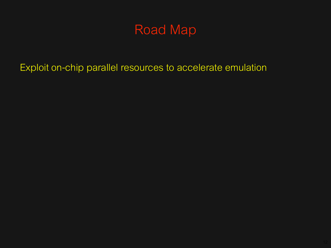Exploit on-chip parallel resources to accelerate emulation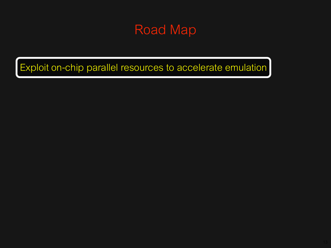Exploit on-chip parallel resources to accelerate emulation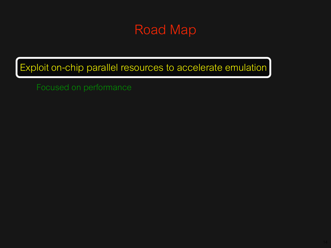Exploit on-chip parallel resources to accelerate emulation

Focused on performance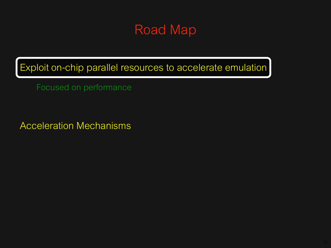Exploit on-chip parallel resources to accelerate emulation

Focused on performance

Acceleration Mechanisms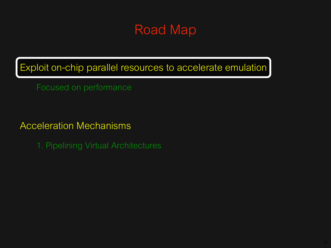Exploit on-chip parallel resources to accelerate emulation

Focused on performance

Acceleration Mechanisms

1. Pipelining Virtual Architectures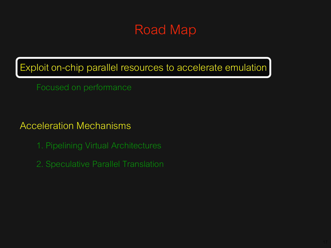Exploit on-chip parallel resources to accelerate emulation

Focused on performance

Acceleration Mechanisms

- 1. Pipelining Virtual Architectures
- 2. Speculative Parallel Translation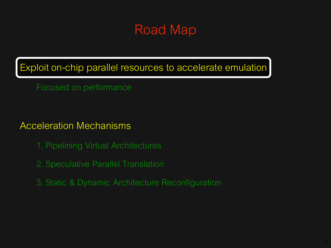Exploit on-chip parallel resources to accelerate emulation

Focused on performance

Acceleration Mechanisms

- 1. Pipelining Virtual Architectures
- 2. Speculative Parallel Translation
- 3. Static & Dynamic Architecture Reconfiguration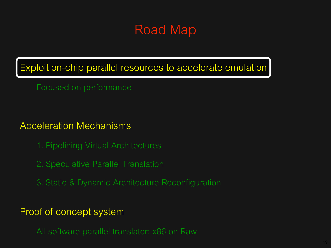Exploit on-chip parallel resources to accelerate emulation

Focused on performance

Acceleration Mechanisms

- 1. Pipelining Virtual Architectures
- 2. Speculative Parallel Translation
- 3. Static & Dynamic Architecture Reconfiguration

Proof of concept system

All software parallel translator: x86 on Raw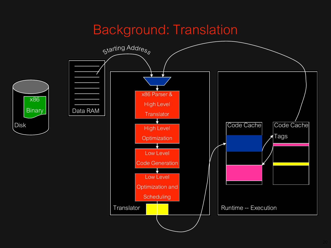### Background: Translation

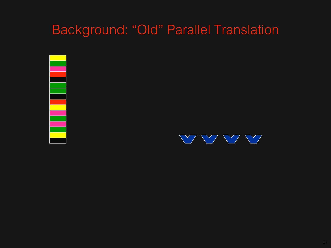# Background: "Old" Parallel Translation



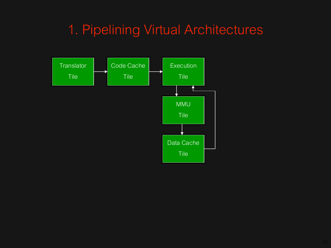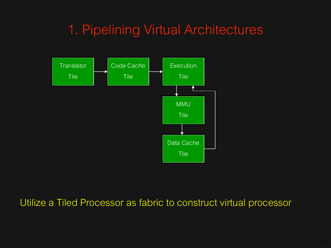

Utilize a Tiled Processor as fabric to construct virtual processor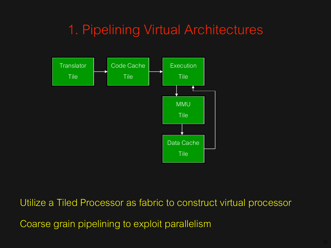

Utilize a Tiled Processor as fabric to construct virtual processor

Coarse grain pipelining to exploit parallelism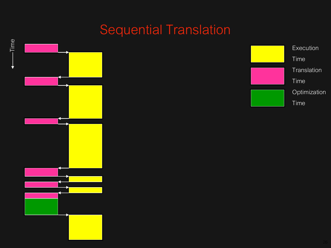# Sequential Translation

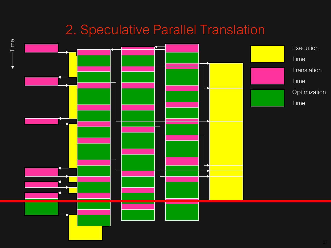# 2. Speculative Parallel Translation

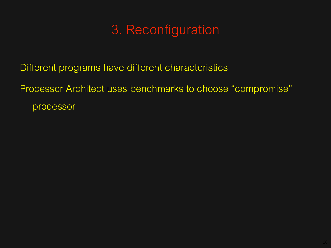# 3. Reconfiguration

Different programs have different characteristics

Processor Architect uses benchmarks to choose "compromise" processor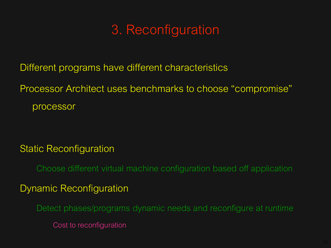# 3. Reconfiguration

Different programs have different characteristics

Processor Architect uses benchmarks to choose "compromise" processor

#### Static Reconfiguration

Choose different virtual machine configuration based off application

#### Dynamic Reconfiguration

Detect phases/programs dynamic needs and reconfigure at runtime

Cost to reconfiguration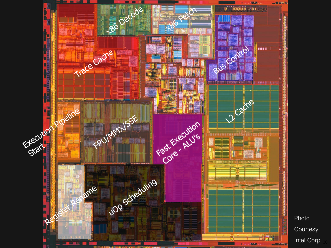

Photo **Courtesy** Intel Corp.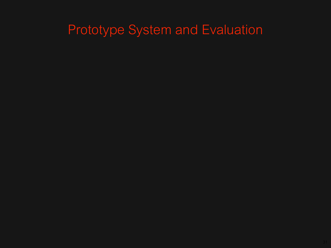# Prototype System and Evaluation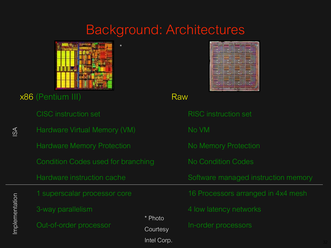# Background: Architectures



x86 (Pentium III)

CISC instruction set

Hardware Virtual Memory (VM) ISA Hardware Memory Protection Condition Codes used for branching Hardware instruction cache 1 superscalar processor core Implementation Implementation 3-way parallelism \* Photo Out-of-order processor **Courtesy** Intel Corp.

\*



Raw

| <b>RISC</b> instruction set         |
|-------------------------------------|
| No VM                               |
| <b>No Memory Protection</b>         |
| <b>No Condition Codes</b>           |
|                                     |
| Software managed instruction memory |
| 16 Processors arranged in 4x4 mesh  |
| 4 low latency networks              |
| In-order processors                 |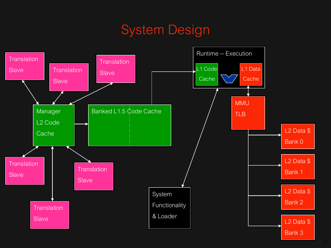### System Design

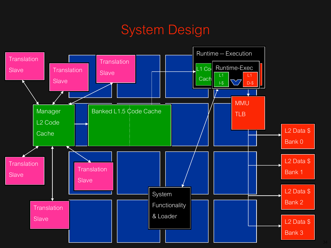### System Design

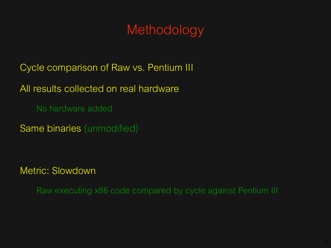# Methodology

Cycle comparison of Raw vs. Pentium III

All results collected on real hardware

No hardware added

Same binaries (unmodified)

Metric: Slowdown

Raw executing x86 code compared by cycle against Pentium III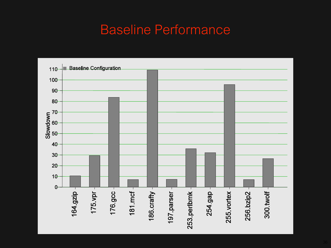# Baseline Performance

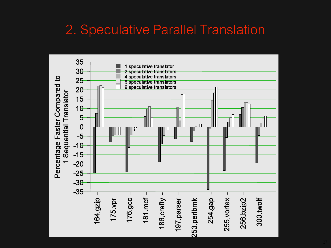# 2. Speculative Parallel Translation

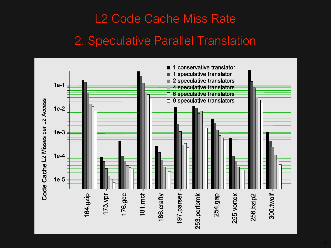# L2 Code Cache Miss Rate 2. Speculative Parallel Translation

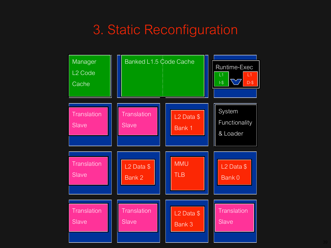# 3. Static Reconfiguration

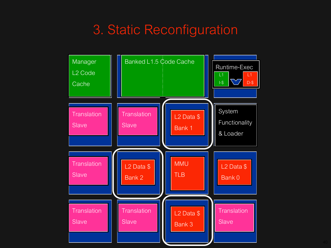# 3. Static Reconfiguration

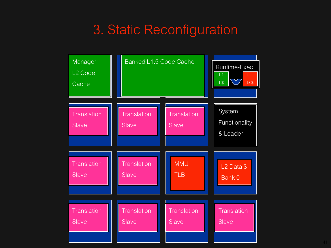# 3. Static Reconfiguration

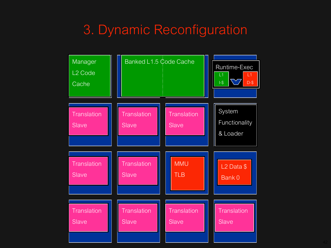# 3. Dynamic Reconfiguration

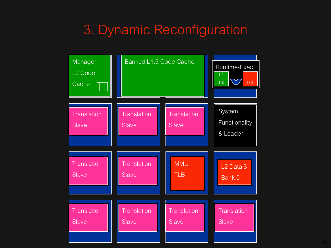# 3. Dynamic Reconfiguration

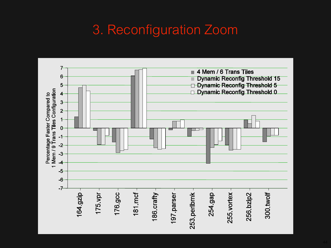# 3. Reconfiguration Zoom

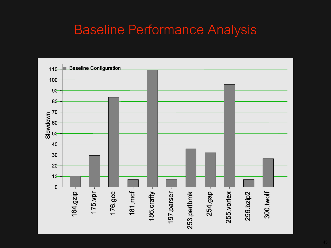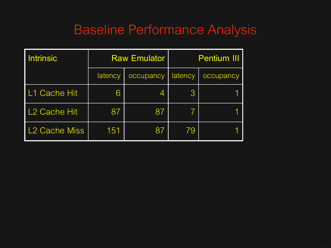| <b>Intrinsic</b>          | <b>Raw Emulator</b> |           | <b>Pentium III</b> |           |
|---------------------------|---------------------|-----------|--------------------|-----------|
|                           | latency             | occupancy | latency            | occupancy |
| L1 Cache Hit              | 6                   | 4         | 3                  |           |
| L <sub>2</sub> Cache Hit  | 87                  | 87        | $7^{\circ}$        |           |
| L <sub>2</sub> Cache Miss | 151                 | 87        | 79                 |           |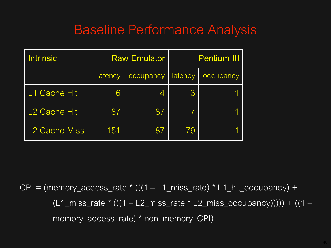| <b>Intrinsic</b>          | <b>Raw Emulator</b> |           | <b>Pentium III</b> |           |
|---------------------------|---------------------|-----------|--------------------|-----------|
|                           | latency             | occupancy | latency            | occupancy |
| L1 Cache Hit              | 6                   | 4         | 3                  |           |
| L <sub>2</sub> Cache Hit  | 87                  | 87        | $7\phantom{.}$     |           |
| L <sub>2</sub> Cache Miss | 151                 | 87        | 79                 |           |

 $CPI = (memory\_access\_rate * (((1 - L1\_miss\_rate) * L1\_hit\_occupancy) +$  $(L1_miss_rate * (((1 - L2_miss_rate * L2_miss\_cocupancy)))) + ((1 – 12_miss\_circ\_ocupancy))))$ memory\_access\_rate) \* non\_memory\_CPI)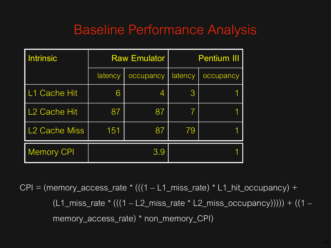| <b>Intrinsic</b>          | <b>Raw Emulator</b> |           | <b>Pentium III</b> |           |
|---------------------------|---------------------|-----------|--------------------|-----------|
|                           | latency             | occupancy | latency            | occupancy |
| L1 Cache Hit              | 6                   | 4         | 3                  |           |
| L <sub>2</sub> Cache Hit  | 87                  | 87        | $\mathcal{T}$      |           |
| L <sub>2</sub> Cache Miss | 151                 | 87        | 79                 |           |
| <b>Memory CPI</b>         |                     | 3.9       |                    |           |

 $CPI = (memory\_access\_rate * (((1 - L1\_miss\_rate) * L1\_hit\_occupancy) +$  $(L1_miss_rate * (((1 - L2_miss_rate * L2_miss\_cocupancy)))) + ((1 – 12_miss\_circ\_ocupancy))))$ memory\_access\_rate) \* non\_memory\_CPI)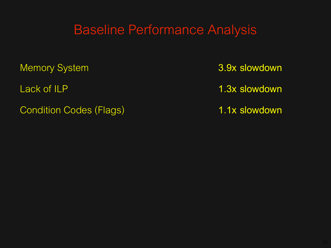Memory System **3.9x slowdown**

Condition Codes (Flags) **1.1x slowdown**

Lack of ILP **1.3x slowdown**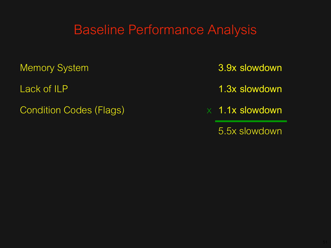Memory System **3.9x slowdown**

Condition Codes (Flags) x 1.1x slowdown

Lack of ILP **1.3x slowdown**

5.5x slowdown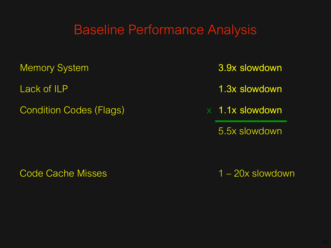Memory System **3.9x slowdown**

Condition Codes (Flags) x 1.1x slowdown

Lack of ILP **1.3x slowdown**

5.5x slowdown

Code Cache Misses 2008 1 – 20x slowdown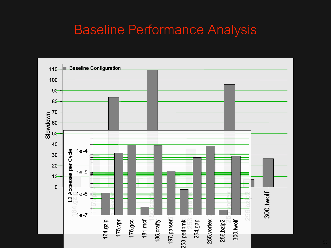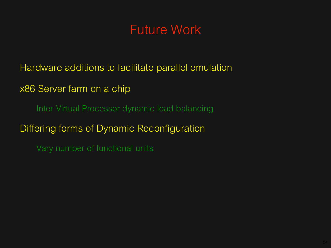### Future Work

Hardware additions to facilitate parallel emulation

x86 Server farm on a chip

Inter-Virtual Processor dynamic load balancing

Differing forms of Dynamic Reconfiguration

Vary number of functional units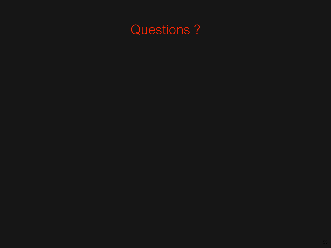# Questions ?